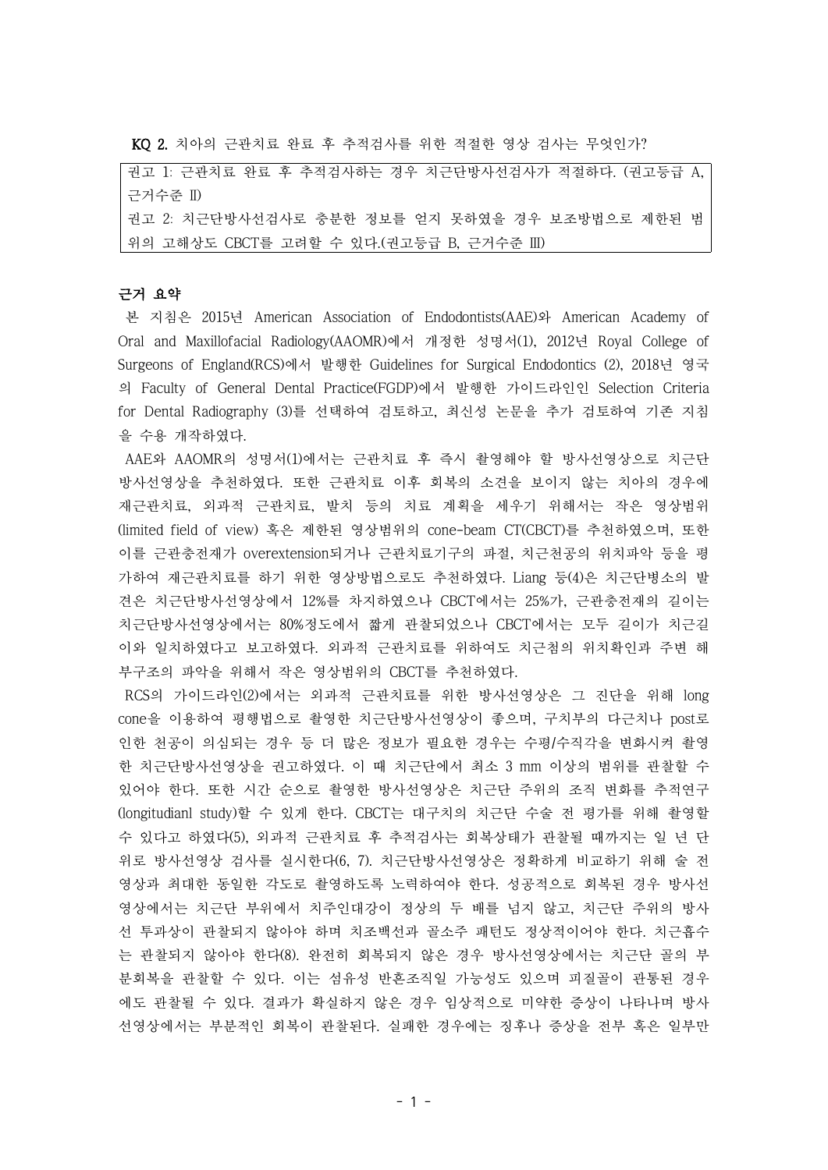KQ 2. 치아의 근관치료 완료 후 추적검사를 위한 적절한 영상 검사는 무엇인가?

권고 1: 근관치료 완료 후 추적검사하는 경우 치근단방사선검사가 적절하다. (권고등급 A, 근거수준 II) 권고 2: 치근단방사선검사로 충분한 정보를 얻지 못하였을 경우 보조방법으로 제한된 범 위의 고해상도 CBCT를 고려할 수 있다.(권고등급 B, 근거수준 III)

# 근거 요약

본 지침은 2015년 American Association of Endodontists(AAE)와 American Academy of Oral and Maxillofacial Radiology(AAOMR)에서 개정한 성명서(1), 2012년 Royal College of Surgeons of England(RCS)에서 발행한 Guidelines for Surgical Endodontics (2), 2018년 영국 의 Faculty of General Dental Practice(FGDP)에서 발행한 가이드라인인 Selection Criteria for Dental Radiography (3)를 선택하여 검토하고, 최신성 논문을 추가 검토하여 기존 지침 을 수용 개작하였다.

AAE와 AAOMR의 성명서(1)에서는 근관치료 후 즉시 촬영해야 할 방사선영상으로 치근단 방사선영상을 추천하였다. 또한 근관치료 이후 회복의 소견을 보이지 않는 치아의 경우에 재근관치료, 외과적 근관치료, 발치 등의 치료 계획을 세우기 위해서는 작은 영상범위 (limited field of view) 혹은 제한된 영상범위의 cone-beam CT(CBCT)를 추천하였으며, 또한 이를 근관충전재가 overextension되거나 근관치료기구의 파절, 치근천공의 위치파악 등을 평 가하여 재근관치료를 하기 위한 영상방법으로도 추천하였다. Liang 등(4)은 치근단병소의 발 견은 치근단방사선영상에서 12%를 차지하였으나 CBCT에서는 25%가, 근관충전재의 길이는 치근단방사선영상에서는 80%정도에서 짧게 관찰되었으나 CBCT에서는 모두 길이가 치근길 이와 일치하였다고 보고하였다. 외과적 근관치료를 위하여도 치근첨의 위치확인과 주변 해 부구조의 파악을 위해서 작은 영상범위의 CBCT를 추천하였다.

RCS의 가이드라인(2)에서는 외과적 근관치료를 위한 방사선영상은 그 진단을 위해 long cone을 이용하여 평행법으로 촬영한 치근단방사선영상이 좋으며, 구치부의 다근치나 post로 인한 천공이 의심되는 경우 등 더 많은 정보가 필요한 경우는 수평/수직각을 변화시켜 촬영 한 치근단방사선영상을 권고하였다. 이 때 치근단에서 최소 3 mm 이상의 범위를 관찰할 수 있어야 한다. 또한 시간 순으로 촬영한 방사선영상은 치근단 주위의 조직 변화를 추적연구 (longitudianl study)할 수 있게 한다. CBCT는 대구치의 치근단 수술 전 평가를 위해 촬영할 수 있다고 하였다(5), 외과적 근관치료 후 추적검사는 회복상태가 관찰될 때까지는 일 년 단 위로 방사선영상 검사를 실시한다(6, 7). 치근단방사선영상은 정확하게 비교하기 위해 술 전 영상과 최대한 동일한 각도로 촬영하도록 노력하여야 한다. 성공적으로 회복된 경우 방사선 영상에서는 치근단 부위에서 치주인대강이 정상의 두 배를 넘지 않고, 치근단 주위의 방사 선 투과상이 관찰되지 않아야 하며 치조백선과 골소주 패턴도 정상적이어야 한다. 치근흡수 는 관찰되지 않아야 한다(8). 완전히 회복되지 않은 경우 방사선영상에서는 치근단 골의 부 분회복을 관찰할 수 있다. 이는 섬유성 반흔조직일 가능성도 있으며 피질골이 관통된 경우 에도 관찰될 수 있다. 결과가 확실하지 않은 경우 임상적으로 미약한 증상이 나타나며 방사 선영상에서는 부분적인 회복이 관찰된다. 실패한 경우에는 징후나 증상을 전부 혹은 일부만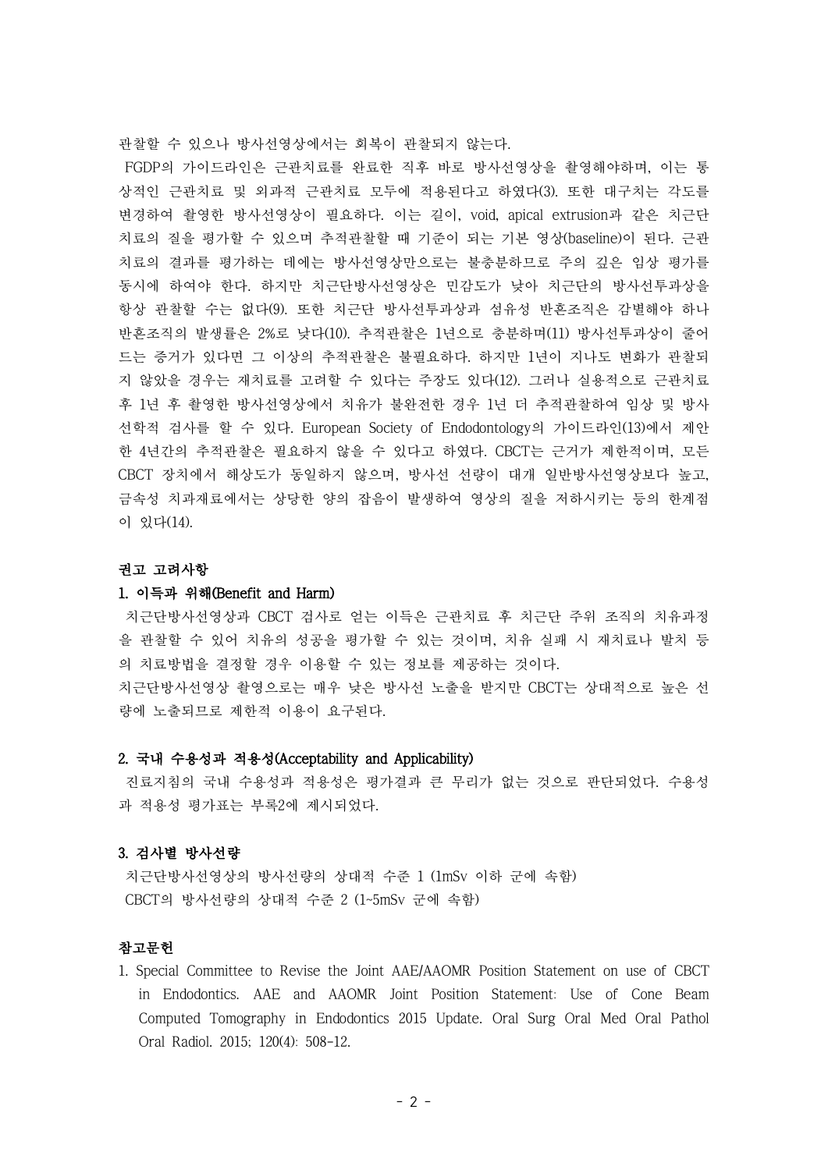관찰할 수 있으나 방사선영상에서는 회복이 관찰되지 않는다.

FGDP의 가이드라인은 근관치료를 완료한 직후 바로 방사선영상을 촬영해야하며, 이는 통 상적인 근관치료 및 외과적 근관치료 모두에 적용된다고 하였다(3). 또한 대구치는 각도를 변경하여 촬영한 방사선영상이 필요하다. 이는 길이, void, apical extrusion과 같은 치근단 치료의 질을 평가할 수 있으며 추적관찰할 때 기준이 되는 기본 영상(baseline)이 된다. 근관 치료의 결과를 평가하는 데에는 방사선영상만으로는 불충분하므로 주의 깊은 임상 평가를 동시에 하여야 한다. 하지만 치근단방사선영상은 민감도가 낮아 치근단의 방사선투과상을 항상 관찰할 수는 없다(9). 또한 치근단 방사선투과상과 섬유성 반흔조직은 감별해야 하나 반흔조직의 발생률은 2%로 낮다(10). 추적관찰은 1년으로 충분하며(11) 방사선투과상이 줄어 드는 증거가 있다면 그 이상의 추적관찰은 불필요하다. 하지만 1년이 지나도 변화가 관찰되 지 않았을 경우는 재치료를 고려할 수 있다는 주장도 있다(12). 그러나 실용적으로 근관치료 후 1년 후 촬영한 방사선영상에서 치유가 불완전한 경우 1년 더 추적관찰하여 임상 및 방사 선학적 검사를 할 수 있다. European Society of Endodontology의 가이드라인(13)에서 제안 한 4년간의 추적관찰은 필요하지 않을 수 있다고 하였다. CBCT는 근거가 제한적이며, 모든 CBCT 장치에서 해상도가 동일하지 않으며, 방사선 선량이 대개 일반방사선영상보다 높고, 금속성 치과재료에서는 상당한 양의 잡음이 발생하여 영상의 질을 저하시키는 등의 한계점 이 있다(14).

## 권고 고려사항

#### 1. 이득과 위해(Benefit and Harm)

치근단방사선영상과 CBCT 검사로 얻는 이득은 근관치료 후 치근단 주위 조직의 치유과정 을 관찰할 수 있어 치유의 성공을 평가할 수 있는 것이며, 치유 실패 시 재치료나 발치 등 의 치료방법을 결정할 경우 이용할 수 있는 정보를 제공하는 것이다. 치근단방사선영상 촬영으로는 매우 낮은 방사선 노출을 받지만 CBCT는 상대적으로 높은 선 량에 노출되므로 제한적 이용이 요구된다.

# 2. 국내 수용성과 적용성(Acceptability and Applicability)

진료지침의 국내 수용성과 적용성은 평가결과 큰 무리가 없는 것으로 판단되었다. 수용성 과 적용성 평가표는 부록2에 제시되었다.

## 3. 검사별 방사선량

치근단방사선영상의 방사선량의 상대적 수준 1 (1mSv 이하 군에 속함) CBCT의 방사선량의 상대적 수준 2 (1~5mSv 군에 속함)

# 참고문헌

1. Special Committee to Revise the Joint AAE/AAOMR Position Statement on use of CBCT in Endodontics. AAE and AAOMR Joint Position Statement: Use of Cone Beam Computed Tomography in Endodontics 2015 Update. Oral Surg Oral Med Oral Pathol Oral Radiol. 2015; 120(4): 508-12.